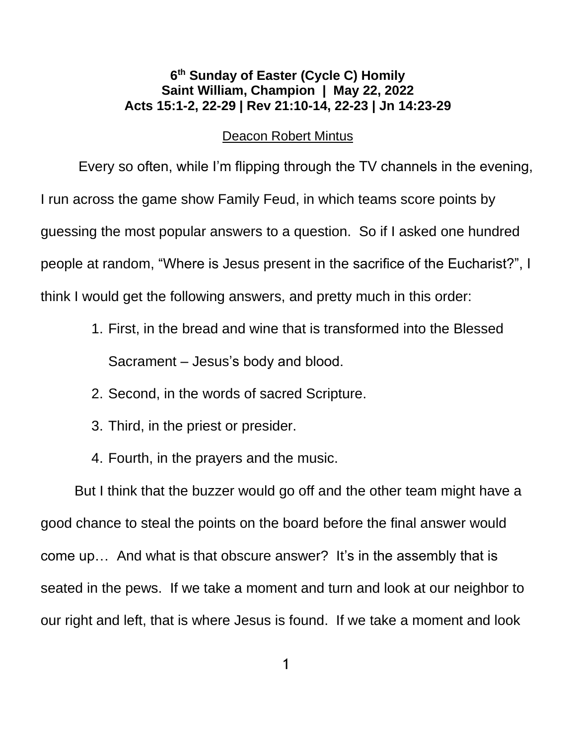## **6 th Sunday of Easter (Cycle C) Homily Saint William, Champion | May 22, 2022 [Acts 15:1-2, 22-29](about:blank) | [Rev 21:10-14, 22-23](about:blank) | [Jn 14:23-29](about:blank)**

## Deacon Robert Mintus

Every so often, while I'm flipping through the TV channels in the evening, I run across the game show Family Feud, in which teams score points by guessing the most popular answers to a question. So if I asked one hundred people at random, "Where is Jesus present in the sacrifice of the Eucharist?", I think I would get the following answers, and pretty much in this order:

- 1. First, in the bread and wine that is transformed into the Blessed Sacrament – Jesus's body and blood.
- 2. Second, in the words of sacred Scripture.
- 3. Third, in the priest or presider.
- 4. Fourth, in the prayers and the music.

But I think that the buzzer would go off and the other team might have a good chance to steal the points on the board before the final answer would come up… And what is that obscure answer? It's in the assembly that is seated in the pews. If we take a moment and turn and look at our neighbor to our right and left, that is where Jesus is found. If we take a moment and look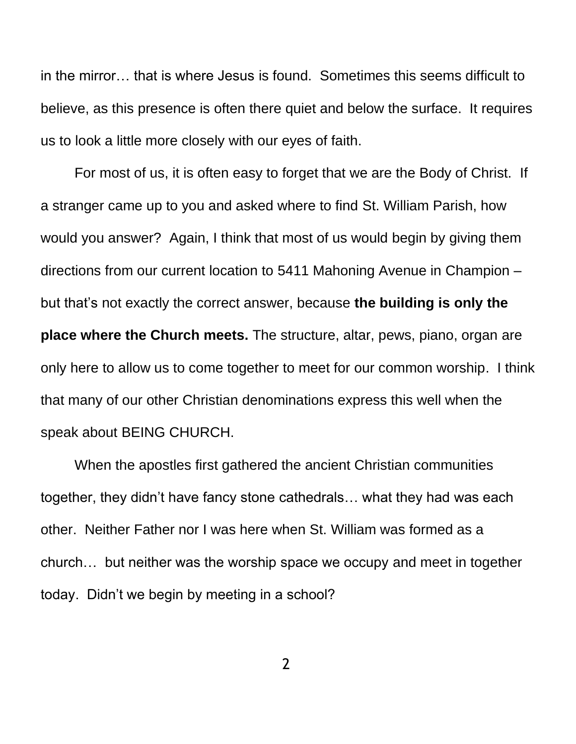in the mirror… that is where Jesus is found. Sometimes this seems difficult to believe, as this presence is often there quiet and below the surface. It requires us to look a little more closely with our eyes of faith.

For most of us, it is often easy to forget that we are the Body of Christ. If a stranger came up to you and asked where to find St. William Parish, how would you answer? Again, I think that most of us would begin by giving them directions from our current location to 5411 Mahoning Avenue in Champion – but that's not exactly the correct answer, because **the building is only the place where the Church meets.** The structure, altar, pews, piano, organ are only here to allow us to come together to meet for our common worship. I think that many of our other Christian denominations express this well when the speak about BEING CHURCH.

When the apostles first gathered the ancient Christian communities together, they didn't have fancy stone cathedrals… what they had was each other. Neither Father nor I was here when St. William was formed as a church… but neither was the worship space we occupy and meet in together today. Didn't we begin by meeting in a school?

2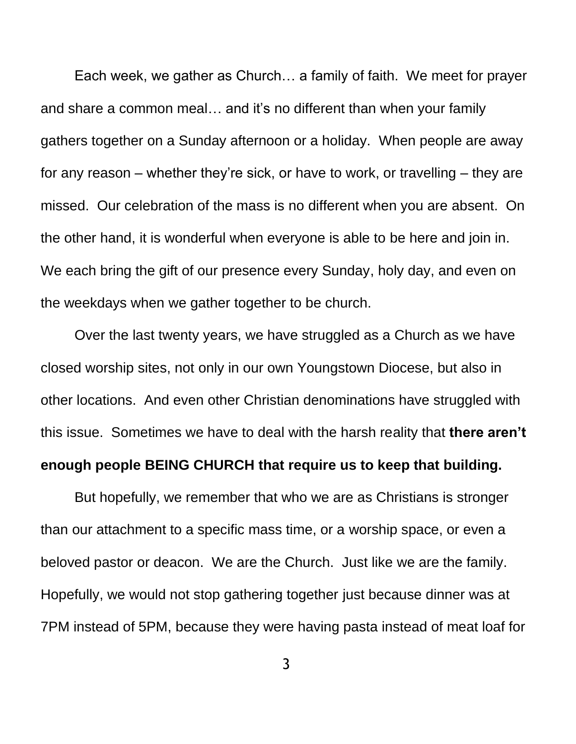Each week, we gather as Church… a family of faith. We meet for prayer and share a common meal… and it's no different than when your family gathers together on a Sunday afternoon or a holiday. When people are away for any reason – whether they're sick, or have to work, or travelling – they are missed. Our celebration of the mass is no different when you are absent. On the other hand, it is wonderful when everyone is able to be here and join in. We each bring the gift of our presence every Sunday, holy day, and even on the weekdays when we gather together to be church.

Over the last twenty years, we have struggled as a Church as we have closed worship sites, not only in our own Youngstown Diocese, but also in other locations. And even other Christian denominations have struggled with this issue. Sometimes we have to deal with the harsh reality that **there aren't enough people BEING CHURCH that require us to keep that building.**

But hopefully, we remember that who we are as Christians is stronger than our attachment to a specific mass time, or a worship space, or even a beloved pastor or deacon. We are the Church. Just like we are the family. Hopefully, we would not stop gathering together just because dinner was at 7PM instead of 5PM, because they were having pasta instead of meat loaf for

3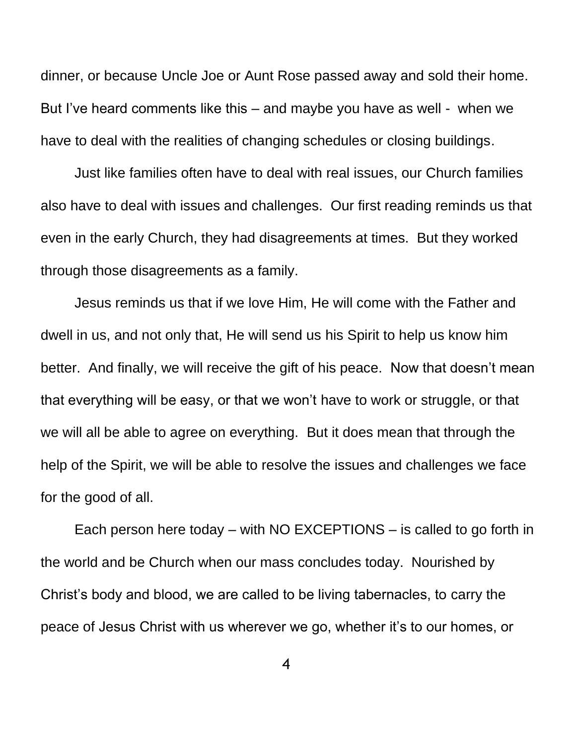dinner, or because Uncle Joe or Aunt Rose passed away and sold their home. But I've heard comments like this – and maybe you have as well - when we have to deal with the realities of changing schedules or closing buildings.

Just like families often have to deal with real issues, our Church families also have to deal with issues and challenges. Our first reading reminds us that even in the early Church, they had disagreements at times. But they worked through those disagreements as a family.

Jesus reminds us that if we love Him, He will come with the Father and dwell in us, and not only that, He will send us his Spirit to help us know him better. And finally, we will receive the gift of his peace. Now that doesn't mean that everything will be easy, or that we won't have to work or struggle, or that we will all be able to agree on everything. But it does mean that through the help of the Spirit, we will be able to resolve the issues and challenges we face for the good of all.

Each person here today – with NO EXCEPTIONS – is called to go forth in the world and be Church when our mass concludes today. Nourished by Christ's body and blood, we are called to be living tabernacles, to carry the peace of Jesus Christ with us wherever we go, whether it's to our homes, or